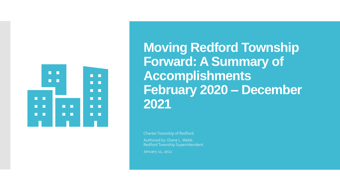

**Moving Redford Township Forward: A Summary of Accomplishments February 2020 – December 2021**

Charter Township of Redford

Authored by: Diane L. Webb Redford Township Superintendent

January 11, 2022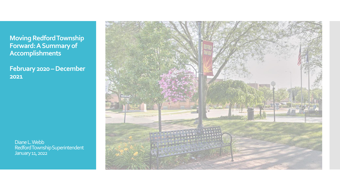**Moving Redford Township Forward: A Summary of Accomplishments**

**February 2020 –December 2021**

 Diane L. Webb Redford Township Superintendent January 11, 2022

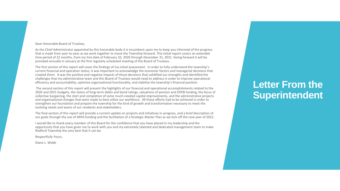#### Dear Honorable Board of Trustees,

As the Chief Administrator appointed by this honorable body it is incumbent upon me to keep you informed of the progress that is made from year-to-year as we work together to move the Township forward. This initial report covers an extended time period of 22 months, from my hire date of February 10, 2020 through December 31, 2021. Going forward it will be provided annually in January at the first regularly scheduled meeting of the Board of Trustees.

The first section of this report will cover the findings of my initial assessment. In order to fully understand the township's current financial and operation status, it was important to acknowledge the economic factors and managerial decisions that created them. It was the positive and negative impacts of those decisions that solidified our strengths and identified the challenges that my administrative team and this Board of Trustees would need to address in order to improve operational efficiency and accountability, optimize organizational functionality, and stabilize the township's financial position.

The second section of this report will present the highlights of our financial and operational accomplishments related to the 2020 and 2021 budgets, the status of long-term debts and bond ratings, valuations of pension and OPEB funding, the focus of collective bargaining, the start and completion of some much-needed capital improvements, and the administrative projects and organizational changes that were made to best utilize our workforce. All these efforts had to be achieved in order to strengthen our foundation and prepare the township for the kind of growth and transformation necessary to meet the evolving needs and wants of our residents and stakeholders.

The final section of this report will provide a current update on projects and initiatives in-progress, and a brief description of our goals through the use of ARPA funding and the facilitation of a Strategic Master Plan as we kick-off the new year of 2022.

I would like to thank every member of this Board for the confidence that you have placed in my leadership and the opportunity that you have given me to work with you and my extremely talented and dedicated management team to make Redford Township the very best that it can be.

Respectfully Yours,

Diane L. Webb

### **Letter From the Superintendent**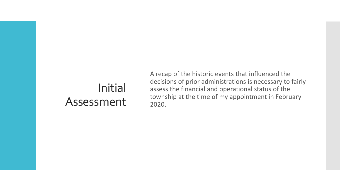# Initial Assessment

A recap of the historic events that influenced the decisions of prior administrations is necessary to fairly assess the financial and operational status of the township at the time of my appointment in February 2020.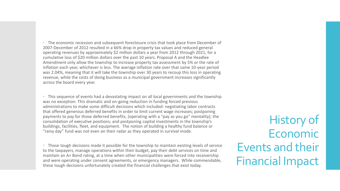The economic recession and subsequent foreclosure crisis that took place from December of 2007-December of 2012 resulted in a 66% drop in property tax values and reduced general operating revenues by approximately \$2 million dollars a year from 2012 through 2021, for a cumulative loss of \$20 million dollars over the past 10 years. Proposal A and the Headlee Amendment only allow the township to increase property tax assessment by 5% or the rate of inflation each year, whichever is less. The average inflation rate over that same 10-year period was 2.04%, meaning that it will take the township over 30 years to recoup this loss in operating revenue, while the costs of doing business as a municipal government increases significantly across the board every year.

 This sequence of events had a devastating impact on all local governments and the township was no exception. This dramatic and on-going reduction in funding forced previous administrations to make some difficult decisions which included: negotiating labor contracts that offered generous deferred benefits in order to limit current wage increases; postponing payments to pay for those deferred benefits, (operating with a "pay as you go" mentality); the consolidation of executive positions; and postponing capital investments in the township's buildings, facilities, fleet, and equipment. The notion of building a healthy fund balance or "rainy day" fund was not even on their radar as they operated in survival mode.

 Those tough decisions made it possible for the township to maintain existing levels of service to the taxpayers, manage operations within their budget, pay their debt services on time and maintain an A+ Bond rating, at a time when other municipalities were forced into receivership and were operating under consent agreements, or emergency managers. While commendable, these tough decisions unfortunately created the financial challenges that exist today.

History of Economic Events and their Financial Impact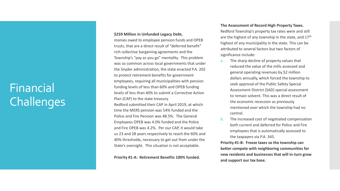# Financial **Challenges**

#### **\$259 Million in Unfunded Legacy Debt,**

monies owed to employee pension funds and OPEB trusts, that are a direct result of "deferred benefit" rich collective bargaining agreements and the Township's "pay as you go" mentality. This problem was so common across local governments that under the Snyder administration, the state enacted P.A. 202 to protect retirement benefits for government employees, requiring all municipalities with pension funding levels of less than 60% and OPEB funding levels of less than 40% to submit a Corrective Action Plan (CAP) to the state treasury. Redford submitted their CAP in April 2019, at which time the MERS pension was 54% funded and the Police and Fire Pension was 48.5%. The General Employees OPEB was 4.0% funded and the Police and Fire OPEB was 4.2%. Per our CAP, it would take us 23 and 28 years respectively to reach the 60% and 40% thresholds, necessary to get out from under the State's oversight. This situation is not acceptable.

**Priority #1 -A: Retirement Benefits 100% funded.** 

#### **The Assessment of Record High Property Taxes.**

Redford Township's property tax rates were and still are the highest of any township in the state, and 17<sup>th</sup> highest of any municipality in the state. This can be attributed to several factors but two factors of significance include:

- a. The sharp decline of property values that reduced the value of the mills assessed and general operating revenues by \$2 million dollars annually, which forced the township to seek approval of the Public Safety Special Assessment District (SAD) special assessment to remain solvent. This was a direct result of the economic recession as previously mentioned over which the township had no control.
- b. The increased cost of negotiated compensation both current and deferred for Police and Fire employees that is automatically assessed to the taxpayers via P.A. 345.

**Priority #1 -B: Freeze taxes so the township can better compete with neighboring communities for new residents and businesses that will in -turn grow and support our tax base.**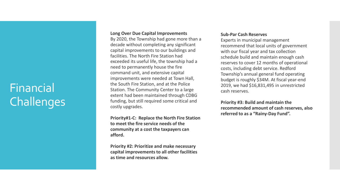# Financial Challenges

#### **Long Over Due Capital Improvements**

By 2020, the Township had gone more than a decade without completing any significant capital improvements to our buildings and facilities. The North Fire Station had exceeded its useful life, the township had a need to permanently house the fire command unit, and extensive capital improvements were needed at Town Hall, the South Fire Station, and at the Police Station. The Community Center to a large extent had been maintained through CDBG funding, but still required some critical and costly upgrades.

**Priority#1 -C: Replace the North Fire Station to meet the fire service needs of the community at a cost the taxpayers can afford.** 

**Priority #2: Prioritize and make necessary capital improvements to all other facilities as time and resources allow.** 

#### **Sub -Par Cash Reserves**

Experts in municipal management recommend that local units of government with our fiscal year and tax collection schedule build and maintain enough cash reserves to cover 12 months of operational costs, including debt service. Redford Township's annual general fund operating budget is roughly \$34M. At fiscal year -end 2019, we had \$16,831,495 in unrestricted cash reserves.

**Priority #3: Build and maintain the recommended amount of cash reserves, also referred to as a "Rainy -Day Fund".**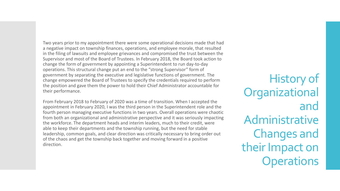Two years prior to my appointment there were some operational decisions made that had a negative impact on township finances, operations, and employee morale, that resulted in the filing of lawsuits and employee grievances and compromised the trust between the Supervisor and most of the Board of Trustees. In February 2018, the Board took action to change the form of government by appointing a Superintendent to run day-to-day operations. This structural change put an end to the "strong Supervisor" form of government by separating the executive and legislative functions of government. The change empowered the Board of Trustees to specify the credentials required to perform the position and gave them the power to hold their Chief Administrator accountable for their performance.

From February 2018 to February of 2020 was a time of transition. When I accepted the appointment in February 2020, I was the third person in the Superintendent role and the fourth person managing executive functions in two years. Overall operations were chaotic from both an organizational and administrative perspective and it was seriously impacting the workforce. The department heads and interim leaders, much to their credit, were able to keep their departments and the township running, but the need for stable leadership, common goals, and clear direction was critically necessary to bring order out of the chaos and get the township back together and moving forward in a positive direction.

History of **Organizational** and Administrative Changes and their Impact on **Operations**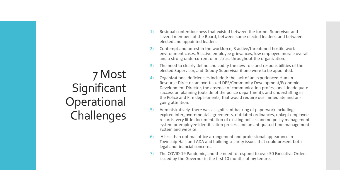# 7 Most **Significant** Operational Challenges

- 1) Residual contentiousness that existed between the former Supervisor and several members of the Board, between some elected leaders, and between elected and appointed leaders.
- 2) Contempt and unrest in the workforce; 3 active/threatened hostile work environment cases, 5 active employee grievances, low employee morale overall and a strong undercurrent of mistrust throughout the organization.
- 3) The need to clearly define and codify the new role and responsibilities of the elected Supervisor, and Deputy Supervisor if one were to be appointed.
- 4) Organizational deficiencies included: the lack of an experienced Human Resource Director, an overtasked DPS/Community Development/Economic Development Director, the absence of communication professional, inadequate succession planning (outside of the police department), and understaffing in the Police and Fire departments, that would require our immediate and ongoing attention.
- 5) Administratively, there was a significant backlog of paperwork including; expired intergovernmental agreements, outdated ordinances, unkept employee records, very little documentation of existing polices and no policy management system or employee identification process and an antiquated time management system and website.
- 6) A less than optimal office arrangement and professional appearance in Township Hall, and ADA and building security issues that could present both legal and financial concerns.
- 7) The COVID-19 Pandemic, and the need to respond to over 50 Executive Orders issued by the Governor in the first 10 months of my tenure.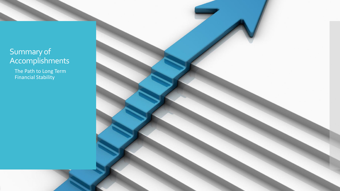### Summary of Accomplishments

 The Path to Long Term Financial Stability

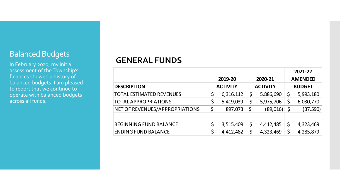### Balanced Budgets

In February 2020, my initial assessment of the Township's finances showed a history of balanced budgets. I am pleased to report that we continue to operate with balanced budgets across all funds.

#### **GENERAL FUNDS**

|                                 |    |                 |    |                 | 2021-22         |
|---------------------------------|----|-----------------|----|-----------------|-----------------|
|                                 |    | 2019-20         |    | 2020-21         | <b>AMENDED</b>  |
| <b>DESCRIPTION</b>              |    | <b>ACTIVITY</b> |    | <b>ACTIVITY</b> | <b>BUDGET</b>   |
| <b>TOTAL ESTIMATED REVENUES</b> | Ş  | 6,316,112       | \$ | 5,886,690       | \$<br>5,993,180 |
| <b>TOTAL APPROPRIATIONS</b>     | Ş  | 5,419,039       | \$ | 5,975,706       | 6,030,770       |
| NET OF REVENUES/APPROPRIATIONS  | \$ | 897,073         | \$ | (89,016)        | (37, 590)       |
|                                 |    |                 |    |                 |                 |
| <b>BEGINNING FUND BALANCE</b>   | \$ | 3,515,409       | \$ | 4,412,485       | \$<br>4,323,469 |
| <b>ENDING FUND BALANCE</b>      | Ş  | 4,412,482       | ς  | 4,323,469       | 4,285,879       |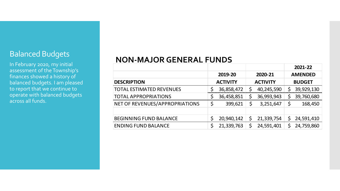#### Balanced Budgets

In February 2020, my initial assessment of the Township's finances showed a history of balanced budgets. I am pleased to report that we continue to operate with balanced budgets across all funds.

### **NON-MAJOR GENERAL FUNDS**

|                                 |                 |                 |    | 2021-22        |
|---------------------------------|-----------------|-----------------|----|----------------|
|                                 | 2019-20         | 2020-21         |    | <b>AMENDED</b> |
| <b>DESCRIPTION</b>              | <b>ACTIVITY</b> | <b>ACTIVITY</b> |    | <b>BUDGET</b>  |
| <b>TOTAL ESTIMATED REVENUES</b> | 36,858,472      | 40,245,590      | Ş  | 39,929,130     |
| <b>TOTAL APPROPRIATIONS</b>     | 36,458,851      | 36,993,943      | Ş  | 39,760,680     |
| NET OF REVENUES/APPROPRIATIONS  | \$<br>399,621   | 3,251,647       |    | 168,450        |
|                                 |                 |                 |    |                |
| <b>BEGINNING FUND BALANCE</b>   | 20,940,142      | 21,339,754      | \$ | 24,591,410     |
| <b>ENDING FUND BALANCE</b>      | 21,339,763      | 24,591,401      |    | 24,759,860     |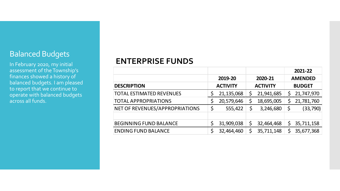### Balanced Budgets

In February 2020, my initial assessment of the Township's finances showed a history of balanced budgets. I am pleased to report that we continue to operate with balanced budgets across all funds.

#### **ENTERPRISE FUNDS**

|                                 |    |                 |                 |    | 2021-22        |
|---------------------------------|----|-----------------|-----------------|----|----------------|
|                                 |    | 2019-20         | 2020-21         |    | <b>AMENDED</b> |
| <b>DESCRIPTION</b>              |    | <b>ACTIVITY</b> | <b>ACTIVITY</b> |    | <b>BUDGET</b>  |
| <b>TOTAL ESTIMATED REVENUES</b> |    | 21,135,068      | 21,941,685      | \$ | 21,747,970     |
| <b>TOTAL APPROPRIATIONS</b>     |    | 20,579,646      | 18,695,005      | \$ | 21,781,760     |
| NET OF REVENUES/APPROPRIATIONS  | \$ | 555,422         | \$<br>3,246,680 | Ş  | (33, 790)      |
|                                 |    |                 |                 |    |                |
| <b>BEGINNING FUND BALANCE</b>   |    | 31,909,038      | 32,464,468      | \$ | 35,711,158     |
| <b>ENDING FUND BALANCE</b>      | Ś  | 32,464,460      | 35,711,148      | Ś  | 35,677,368     |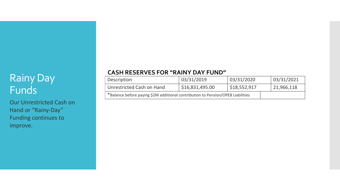## Rainy Day Funds

Our Unrestricted Cash on Hand or "Rainy-Day" Funding continues to improve.

#### **CASH RESERVES FOR "RAINY DAY FUND"**

| Description                                                                     | 03/31/2019<br>03/31/2020<br>\$16,831,495.00<br>\$18,552,917 |  | 103/31/2021 |
|---------------------------------------------------------------------------------|-------------------------------------------------------------|--|-------------|
| Unrestricted Cash on Hand                                                       |                                                             |  | 21,966,118  |
| *Balance before paying \$2M additional contribution to Pension/OPEB Liabilities |                                                             |  |             |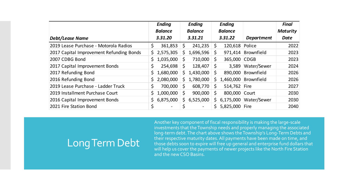|                                          |     | <b>Ending</b>            |    | <b>Ending</b>  |    | <b>Ending</b>  |                   | <b>Final</b>    |
|------------------------------------------|-----|--------------------------|----|----------------|----|----------------|-------------------|-----------------|
|                                          |     | <b>Balance</b>           |    | <b>Balance</b> |    | <b>Balance</b> |                   | <b>Maturity</b> |
| <b>Debt/Lease Name</b>                   |     | 3.31.20                  |    | 3.31.21        |    | 3.31.22        | <b>Department</b> | <b>Date</b>     |
| 2019 Lease Purchase - Motorola Radios    | \$  | 361,853                  | \$ | 241,235        | \$ | 120,618 Police |                   | 2022            |
| 2017 Capital Improvement Refunding Bonds |     | \$2,575,305              | S. | 1,696,596      | \$ | 971,414        | Brownfield        | 2023            |
| 2007 CDBG Bond                           | Ş   | 1,035,000                | Ş  | 710,000        | S  | 365,000        | <b>CDGB</b>       | 2023            |
| 2017 Capital Improvement Bonds           | \$  | 254,698                  | \$ | 128,407        | Ş  | 3,589          | Water/Sewer       | 2024            |
| 2017 Refunding Bond                      | Ş.  | 1,680,000                | S. | 1,430,000      | \$ | 890,000        | Brownfield        | 2026            |
| 2016 Refunding Bond                      | Ş   | 2,080,000                | Ş. | 1,780,000      | S  | 1,460,000      | Brownfield        | 2026            |
| 2019 Lease Purchase - Ladder Truck       | \$  | 700,000                  | \$ | 608,770        | \$ | 514,762        | Fire              | 2027            |
| 2019 Installment Purchase Court          | \$  | 1,000,000                | \$ | 900,000        | \$ | 800,000        | Court             | 2030            |
| 2016 Capital Improvement Bonds           | \$. | 6,875,000                | Ş. | 6,525,000      | \$ | 6,175,000      | Water/Sewer       | 2030            |
| 2021 Fire Station Bond                   | \$  | $\overline{\phantom{a}}$ |    |                | \$ | 5,825,000      | Fire              | 2040            |

## Long Term Debt

Another key component of fiscal responsibility is making the large-scale investments that the Township needs and properly managing the associated long-term debt. The chart above shows the Township's Long-Term Debts and their respective maturity dates. All payments have been made on time, and those debts soon to expire will free up general and enterprise fund dollars that will help us cover the payments of newer projects like the North Fire Station and the new CSO Basins.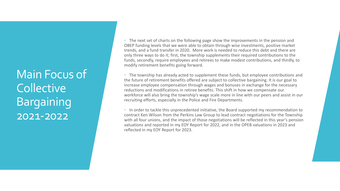Main Focus of **Collective** Bargaining 2021-2022

 The next set of charts on the following page show the improvements in the pension and OBEP funding levels that we were able to obtain through wise investments, positive market trends, and a fund transfer in 2020. More work is needed to reduce this debt and there are only three ways to do it; first, the township supplements their required contributions to the funds, secondly, require employees and retirees to make modest contributions, and thirdly, to modify retirement benefits going forward.

 The township has already acted to supplement these funds, but employee contributions and the future of retirement benefits offered are subject to collective bargaining. It is our goal to increase employee compensation through wages and bonuses in exchange for the necessary reductions and modifications in retiree benefits. This shift in how we compensate our workforce will also bring the township's wage scale more in line with our peers and assist in our recruiting efforts, especially in the Police and Fire Departments.

 In order to tackle this unprecedented initiative, the Board supported my recommendation to contract Ken Wilson from the Perkins Law Group to lead contract negotiations for the Township with all four unions, and the impact of those negotiations will be reflected in this year's pension valuations and reported in my EOY Report for 2022, and in the OPEB valuations in 2023 and reflected in my EOY Report for 2023.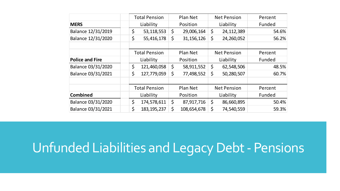|                        | <b>Total Pension</b> | Plan Net |                       |                    | <b>Net Pension</b> | Percent |  |
|------------------------|----------------------|----------|-----------------------|--------------------|--------------------|---------|--|
| <b>MERS</b>            | Liability            |          | Position              |                    | Liability          | Funded  |  |
| Balance 12/31/2019     | \$<br>53, 118, 553   |          | 29,006,164            |                    | 24, 112, 389       | 54.6%   |  |
| Balance 12/31/2020     | \$<br>55,416,178     | \$       | 31, 156, 126          | \$                 | 24,260,052         | 56.2%   |  |
|                        |                      |          |                       |                    |                    |         |  |
|                        | <b>Total Pension</b> |          | Plan Net              |                    | <b>Net Pension</b> | Percent |  |
| <b>Police and Fire</b> | Liability            |          | Position              |                    | Liability          | Funded  |  |
| Balance 03/31/2020     | \$<br>121,460,058    | \$       | 58,911,552            | \$                 | 62,548,506         | 48.5%   |  |
| Balance 03/31/2021     | \$<br>127,779,059    | \$       | 77,498,552            | 50,280,507<br>\$   |                    | 60.7%   |  |
|                        |                      |          |                       |                    |                    |         |  |
|                        | <b>Total Pension</b> | Plan Net |                       | <b>Net Pension</b> |                    | Percent |  |
| <b>Combined</b>        | Liability            |          | Liability<br>Position |                    |                    | Funded  |  |
| Balance 03/31/2020     | \$<br>174,578,611    | \$       | 87,917,716            | \$                 | 86,660,895         | 50.4%   |  |
| Balance 03/31/2021     | \$<br>183, 195, 237  | \$       | 108,654,678           | 74,540,559<br>Ş    |                    | 59.3%   |  |

# Unfunded Liabilities and Legacy Debt - Pensions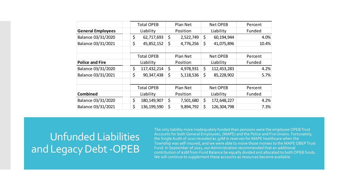|                          | <b>Total OPEB</b>   |                 | Plan Net  |                   | <b>Net OPEB</b> | Percent   |  |        |
|--------------------------|---------------------|-----------------|-----------|-------------------|-----------------|-----------|--|--------|
| <b>General Employees</b> | Liability           |                 | Position  |                   | Liability       | Funded    |  |        |
| Balance 03/31/2020       | \$<br>62,717,693    | \$<br>2,522,749 |           | \$                | 60,194,944      | 4.0%      |  |        |
| Balance 03/31/2021       | \$<br>45,852,152    | \$              | 4,776,256 |                   | 41,075,896      | 10.4%     |  |        |
|                          | <b>Total OPEB</b>   |                 | Plan Net  |                   | <b>Net OPEB</b> | Percent   |  |        |
| <b>Police and Fire</b>   | Liability           |                 | Position  | Liability         |                 | Funded    |  |        |
| Balance 03/31/2020       | \$<br>117,432,214   | \$              | 4,978,931 | \$                | 112,453,283     | 4.2%      |  |        |
| Balance 03/31/2021       | \$<br>90,347,438    | \$              | 5,118,536 | \$                | 85,228,902      | 5.7%      |  |        |
|                          | <b>Total OPEB</b>   |                 | Plan Net  |                   | Net OPEB        | Percent   |  |        |
| <b>Combined</b>          | Liability           | Position        |           |                   |                 | Liability |  | Funded |
| Balance 03/31/2020       | \$<br>180, 149, 907 | \$              | 7,501,680 | \$<br>172,648,227 |                 | 4.2%      |  |        |
| Balance 03/31/2021       | \$<br>136, 199, 590 | \$              | 9,894,792 | \$                | 126,304,798     | 7.3%      |  |        |

## Unfunded Liabilities and Legacy Debt -OPEB

The only liability more inadequately funded than pensions were the employee OPEB Trust Accounts for both General Employees, (MAPE) and the Police and Fire Unions. Fortunately, the Single Audit of 2020 revealed \$1.97M in reserves for MAPE healthcare when the Township was self-insured, and we were able to move those monies to the MAPE OBEP Trust Fund. In September of 2021, our Administration recommended that an additional contribution of \$2M from Fund Balance be equally divided and allocated to both OPEB funds. We will continue to supplement these accounts as resources become available.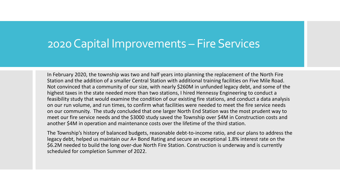## 2020 Capital Improvements – Fire Services

In February 2020, the township was two and half years into planning the replacement of the North Fire Station and the addition of a smaller Central Station with additional training facilities on Five Mile Road. Not convinced that a community of our size, with nearly \$260M in unfunded legacy debt, and some of the highest taxes in the state needed more than two stations, I hired Hennessy Engineering to conduct a feasibility study that would examine the condition of our existing fire stations, and conduct a data analysis on our run volume, and run times, to confirm what facilities were needed to meet the fire service needs on our community. The study concluded that one larger North End Station was the most prudent way to meet our fire service needs and the \$3000 study saved the Township over \$4M in Construction costs and another \$4M in operation and maintenance costs over the lifetime of the third station.

The Township's history of balanced budgets, reasonable debt-to-income ratio, and our plans to address the legacy debt, helped us maintain our A+ Bond Rating and secure an exceptional 1.8% interest rate on the \$6.2M needed to build the long over-due North Fire Station. Construction is underway and is currently scheduled for completion Summer of 2022.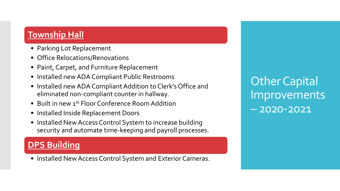### **Township Hall**

- Parking Lot Replacement
- Office Relocations/Renovations
- Paint, Carpet, and Furniture Replacement
- Installed new ADA Compliant Public Restrooms
- Installed new ADA Compliant Addition to Clerk's Office and eliminated non-compliant counter in hallway.
- Built in new 1<sup>st</sup> Floor Conference Room Addition
- Installed Inside Replacement Doors
- Installed New Access Control System to increase building security and automate time-keeping and payroll processes.

### **DPS Building**

• Installed New Access Control System and Exterior Cameras.

Other Capital Improvements – 2020-2021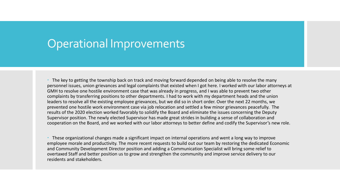## Operational Improvements

 The key to getting the township back on track and moving forward depended on being able to resolve the many personnel issues, union grievances and legal complaints that existed when I got here. I worked with our labor attorneys at GMH to resolve one hostile environment case that was already in progress, and I was able to prevent two other complaints by transferring positions to other departments. I had to work with my department heads and the union leaders to resolve all the existing employee grievances, but we did so in short order. Over the next 22 months, we prevented one hostile work environment case via job relocation and settled a few minor grievances peacefully. The results of the 2020 election worked favorably to solidify the Board and eliminate the issues concerning the Deputy Supervisor position. The newly elected Supervisor has made great strides in building a sense of collaboration and cooperation on the Board, and we worked with our labor attorneys to better define and codify the Supervisor's new role.

 These organizational changes made a significant impact on internal operations and went a long way to improve employee morale and productivity. The more recent requests to build out our team by restoring the dedicated Economic and Community Development Director position and adding a Communication Specialist will bring some relief to overtaxed Staff and better position us to grow and strengthen the community and improve service delivery to our residents and stakeholders.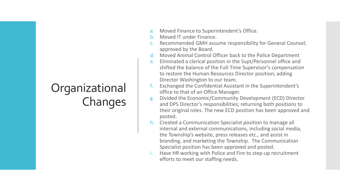# Organizational Changes

- a. Moved Finance to Superintendent's Office.
- b. Moved IT under Finance.
- c. Recommended GMH assume responsibility for General Counsel; approved by the Board.
- d. Moved Animal Control Officer back to the Police Department
- e. Eliminated a clerical position in the Supt/Personnel office and shifted the balance of the Full-Time Supervisor's compensation to restore the Human Resources Director position; adding Director Washington to our team.
- f. Exchanged the Confidential Assistant in the Superintendent's office to that of an Office Manager.
- g. Divided the Economic/Community Development (ECD) Director and DPS Director's responsibilities; returning both positions to their original roles. The new ECD position has been approved and posted.
- h. Created a Communication Specialist position to manage all internal and external communications, including social media, the Township's website, press releases etc., and assist in branding, and marketing the Township. The Communication Specialist position has been approved and posted.
- Have HR working with Police and Fire to step-up recruitment efforts to meet our staffing needs.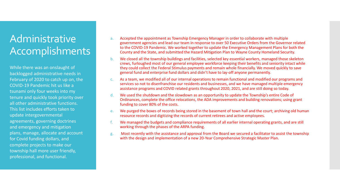## Administrative Accomplishments

While there was an onslaught of backlogged administrative needs in February of 2020 to catch up on, the COVID-19 Pandemic hit us like a tsunami only four weeks into my tenure and quickly took priority over all other administrative functions. This list includes efforts taken to update intergovernmental agreements, governing doctrines and emergency and mitigation plans, manage, allocate and account for Covid funding dollars, and complete projects to make our township hall more user friendly, professional, and functional.

- a. Accepted the appointment as Township Emergency Manager in order to collaborate with multiple government agencies and lead our team in response to over 50 Executive Orders from the Governor related to the COVID-19 Pandemic. We worked together to update the Emergency Management Plans for both the County and the State, and submitted the Hazard Mitigation Plan to Wayne County Homeland Security.
- b. We closed all the township buildings and facilities, selected key essential workers, managed those skeleton crews, furloughed most of our general employee workforce keeping their benefits and seniority intact while they could collect the Federal Stimulus payments and remain whole financially. We moved quickly to save general fund and enterprise fund dollars and didn't have to lay-off anyone permanently.
- c. As a team, we modified all of our internal operations to remain functional and modified our programs and services so not to disenfranchise our residents and businesses, and we have managed multiple emergency assistance programs and COVID related grants throughout 2020, 2021, and are still doing so today.
- d. We used the shutdown and the slowdown as an opportunity to update the Township's entire Code of Ordinances, complete the office relocations, the ADA improvements and building renovations; using grant funding to cover 80% of the costs.
- e. We purged the boxes of records being stored in the basement of town hall and the court; archiving old human resource records and digitizing the records of current retirees and active employees.
- f. We managed the budgets and compliance requirements of all earlier internal operating grants, and are still working through the phases of the ARPA funding.
- g. Most recently with the assistance and approval from the Board we secured a facilitator to assist the township with the design and implementation of a new 20-Year Comprehensive Strategic Master Plan.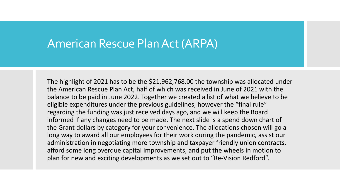## American Rescue Plan Act (ARPA)

The highlight of 2021 has to be the \$21,962,768.00 the township was allocated under the American Rescue Plan Act, half of which was received in June of 2021 with the balance to be paid in June 2022. Together we created a list of what we believe to be eligible expenditures under the previous guidelines, however the "final rule" regarding the funding was just received days ago, and we will keep the Board informed if any changes need to be made. The next slide is a spend down chart of the Grant dollars by category for your convenience. The allocations chosen will go a long way to award all our employees for their work during the pandemic, assist our administration in negotiating more township and taxpayer friendly union contracts, afford some long overdue capital improvements, and put the wheels in motion to plan for new and exciting developments as we set out to "Re-Vision Redford".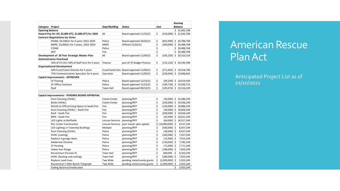|                        |                                                         |                  |                                       |      |                    |                | <b>Running</b>             |  |
|------------------------|---------------------------------------------------------|------------------|---------------------------------------|------|--------------------|----------------|----------------------------|--|
| Category               | Project                                                 | Dept/Building    | Status                                | Cost |                    | <b>Balance</b> |                            |  |
| <b>Opening Balance</b> |                                                         |                  |                                       |      |                    |                | \$21,962,768               |  |
|                        | Hazard Pay for All, \$2,000 (FT), \$1,000 (PT) for 2020 | All              | Board approved 11/23/21               | \$   | (319,000)          |                | \$21,643,768               |  |
|                        | <b>Contract Negotiations by Union</b>                   |                  |                                       |      |                    |                |                            |  |
|                        | POAM, \$4,500/yr for 4 years 2021-2024                  | Police           | Board approved 10/26/21               | \$   |                    |                | $(855,000)$ \$ 20,788,768  |  |
|                        | MAPE, \$2,000/yr for 3 years, 2022-2024                 | <b>MAPE</b>      | Offered 12/02/21                      | \$   |                    |                | $(300,000)$ \$ 20,488,768  |  |
|                        | COAM                                                    | Police           |                                       | \$   | $\omega$           |                | \$20,488,768               |  |
|                        | <b>IAFF</b>                                             | Fire             |                                       | \$   |                    |                | \$20,488,768               |  |
|                        | Development of 20 Year Strategic Master Plan            | All              | Board approved 11/09/21               | \$   |                    |                | $(165,250)$ \$ 20,323,518  |  |
|                        | <b>Administrative Overhead</b>                          |                  |                                       |      |                    |                |                            |  |
|                        | 10% of Fin Dir/ 30% of Staff Acct for 4 years           | Finance          | part of YE Budget Process             | \$   |                    |                | $(133, 120)$ \$ 20,190,398 |  |
|                        | <b>Organizational Development</b>                       |                  |                                       |      |                    |                |                            |  |
|                        | 50% Econ/Comm Director for 4 years                      |                  | Econ/Comm Dev Board approved 11/09/21 | \$   |                    |                | $(271,692)$ \$ 19,918,706  |  |
|                        | 75% Communications Specialist for 4 years               | Executive        | Board approved 11/09/21               | \$   |                    |                | $(230,044)$ \$ 19,688,663  |  |
|                        | Capital Improvements - APPROVED                         |                  |                                       |      |                    |                |                            |  |
|                        | 2F Flooring                                             | Police           | Board approved 12/14/21               | \$   |                    |                | $(69,204)$ \$ 19,619,459   |  |
|                        | 2F Office Furniture                                     | Police           | Board approved 11/23/21               | \$   |                    |                | $(109, 736)$ \$ 19,509,723 |  |
|                        | Roof                                                    | <b>Town Hall</b> | Board approved 08/10/21               | \$   |                    |                | $(193, 474)$ \$ 19,316,249 |  |
|                        |                                                         |                  |                                       |      |                    |                |                            |  |
|                        | Capital Improvements - PENDING BOARD APPROVAL           |                  |                                       |      |                    |                |                            |  |
|                        | Duct Cleaning (HVAC)                                    | Comm Center      | planning/RFP                          | \$   |                    |                | $(30,000)$ \$ 19,286,249   |  |
|                        | Boiler (HVAC)                                           | Comm Center      | planning/RFP                          | \$   |                    |                | $(250,000)$ \$ 19,036,249  |  |
|                        | Refurb to Office/Living Space at South Fire             | Fire             | planning/RFP                          | \$   |                    |                | $(150,000)$ \$ 18,886,249  |  |
|                        | Duct Cleaning (HVAC) - South Fire                       | Fire             | planning/RFP                          | \$   |                    |                | $(30,000)$ \$ 18,856,249   |  |
|                        | Roof - South Fire                                       | Fire             | planning/RFP                          | \$   |                    |                | $(200,000)$ \$ 18,656,249  |  |
|                        | <b>BRIX - South Fire</b>                                | Fire             | planning/RFP                          | \$   |                    |                | $(35,000)$ \$ 18,621,249   |  |
|                        | LED Lights at Ballfields                                | Leisure Services | planning/RFP                          | \$   |                    |                | $(64,000)$ \$ 18,557,249   |  |
|                        | <b>Rec Center Construction</b>                          | Leisure Services | post master plan update               |      | \$ (10,000,000) \$ |                | 8,557,249                  |  |
|                        | LED Lighting in Township Buildings                      | Multiple         | planning/RFP                          | \$   | $(500,000)$ \$     |                | 8,057,249                  |  |
|                        | Duct Cleaning (HVAC)                                    | Police           | planning/RFP                          | \$   | $(30,000)$ \$      |                | 8,027,249                  |  |
|                        | HVAC (cooling)                                          | Police           | planning/RFP                          | \$   | $(100,000)$ \$     |                | 7,927,249                  |  |
|                        | Replace 4 garage doors                                  | Police           | planning/RFP                          | \$   | $(15,000)$ \$      |                | 7,912,249                  |  |
|                        | Modernize Elevator                                      | Police           | planning/RFP                          | \$   | $(130,000)$ \$     |                | 7,782,249                  |  |
|                        | 2F Painting                                             | Police           | planning/RFP                          | \$   | $(71,000)$ \$      |                | 7,711,249                  |  |
|                        | Indoor Gun Range                                        | Police           | planning/RFP                          | \$   | $(108,000)$ \$     |                | 7,603,249                  |  |
|                        | Reconstruct Elsinore St                                 | <b>Town Hall</b> | planning/RFP                          | \$   | 600,000            | -Ś             | 8,203,249                  |  |
|                        | HVAC (heating and cooling)                              | <b>Town Hall</b> | planning/RFP                          | \$   | $(280,000)$ \$     |                | 7,923,249                  |  |
|                        | Replace Lead Lines                                      | Twp Wide         | pending state/county grants           | \$   | $(2,000,000)$ \$   |                | 5,923,249                  |  |
|                        | Reconstruct 5 Mile Beech-Telegraph                      | Twp Wide         | pending state/county grants           | \$   | $(2,000,000)$ \$   |                | 3,923,249                  |  |
|                        | Ending Balance/Unallocated                              |                  |                                       |      |                    | \$             | 3,923,249                  |  |

## American Rescue Plan Act

 Anticipated Project List as of 01/10/2022